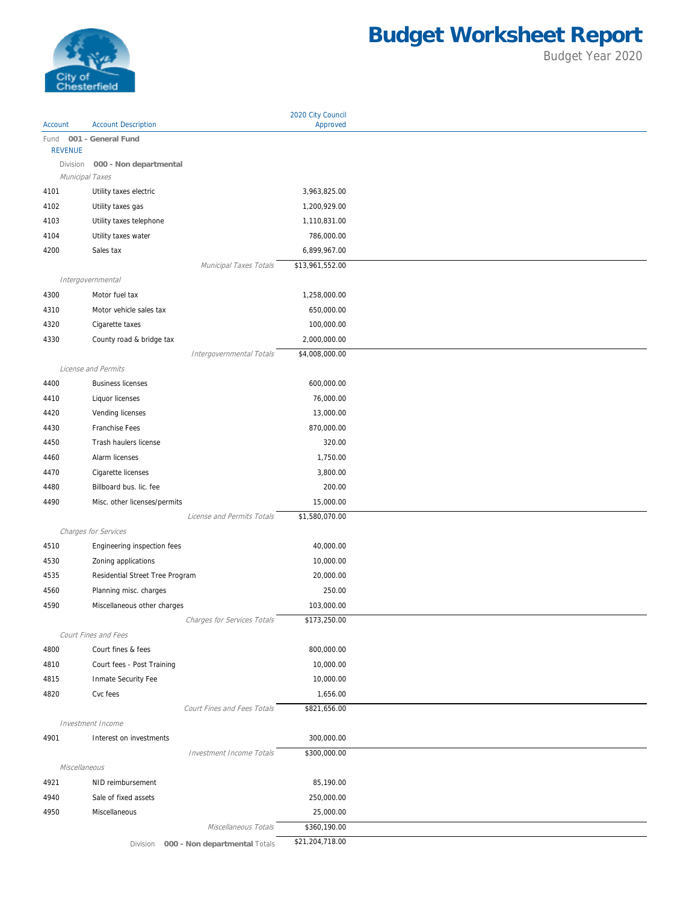

|                 |                                                  |                                        | 2020 City Council<br>Approved |  |
|-----------------|--------------------------------------------------|----------------------------------------|-------------------------------|--|
| Account<br>Fund | <b>Account Description</b><br>001 - General Fund |                                        |                               |  |
| <b>REVENUE</b>  |                                                  |                                        |                               |  |
| Division        | 000 - Non departmental                           |                                        |                               |  |
| Municipal Taxes |                                                  |                                        |                               |  |
| 4101            | Utility taxes electric                           |                                        | 3,963,825.00                  |  |
| 4102            | Utility taxes gas                                |                                        | 1,200,929.00                  |  |
| 4103            | Utility taxes telephone                          |                                        | 1,110,831.00                  |  |
| 4104            | Utility taxes water                              |                                        | 786,000.00                    |  |
| 4200            | Sales tax                                        |                                        | 6,899,967.00                  |  |
|                 |                                                  | Municipal Taxes Totals                 | \$13,961,552.00               |  |
|                 | Intergovernmental                                |                                        |                               |  |
| 4300            | Motor fuel tax                                   |                                        | 1,258,000.00                  |  |
| 4310            | Motor vehicle sales tax                          |                                        | 650,000.00                    |  |
| 4320            | Cigarette taxes                                  |                                        | 100,000.00                    |  |
| 4330            | County road & bridge tax                         |                                        | 2,000,000.00                  |  |
|                 |                                                  | Intergovernmental Totals               | \$4,008,000.00                |  |
|                 | License and Permits                              |                                        |                               |  |
| 4400            | <b>Business licenses</b>                         |                                        | 600,000.00                    |  |
| 4410            | Liquor licenses                                  |                                        | 76,000.00                     |  |
| 4420            | Vending licenses                                 |                                        | 13,000.00                     |  |
| 4430            | Franchise Fees                                   |                                        | 870,000.00                    |  |
| 4450            | Trash haulers license                            |                                        | 320.00                        |  |
| 4460            | Alarm licenses                                   |                                        | 1,750.00                      |  |
| 4470            | Cigarette licenses                               |                                        | 3,800.00                      |  |
| 4480            | Billboard bus. lic. fee                          |                                        | 200.00                        |  |
| 4490            | Misc. other licenses/permits                     |                                        | 15,000.00                     |  |
|                 |                                                  | License and Permits Totals             | \$1,580,070.00                |  |
|                 | Charges for Services                             |                                        |                               |  |
| 4510            | Engineering inspection fees                      |                                        | 40,000.00                     |  |
| 4530            | Zoning applications                              |                                        | 10,000.00                     |  |
| 4535            | Residential Street Tree Program                  |                                        | 20,000.00                     |  |
| 4560            | Planning misc. charges                           |                                        | 250.00                        |  |
| 4590            | Miscellaneous other charges                      |                                        | 103,000.00                    |  |
|                 |                                                  | Charges for Services Totals            | \$173,250.00                  |  |
|                 | Court Fines and Fees                             |                                        |                               |  |
| 4800            | Court fines & fees                               |                                        | 800,000.00                    |  |
| 4810            | Court fees - Post Training                       |                                        | 10,000.00                     |  |
| 4815            | Inmate Security Fee                              |                                        | 10,000.00                     |  |
| 4820            | Cvc fees                                         |                                        | 1,656.00                      |  |
|                 |                                                  | Court Fines and Fees Totals            | \$821,656.00                  |  |
|                 | Investment Income                                |                                        |                               |  |
| 4901            | Interest on investments                          |                                        | 300,000.00                    |  |
|                 |                                                  | Investment Income Totals               | \$300,000.00                  |  |
| Miscellaneous   |                                                  |                                        |                               |  |
| 4921            | NID reimbursement                                |                                        | 85,190.00                     |  |
| 4940            | Sale of fixed assets                             |                                        | 250,000.00                    |  |
| 4950            | Miscellaneous                                    |                                        | 25,000.00                     |  |
|                 |                                                  | Miscellaneous Totals                   | \$360,190.00                  |  |
|                 |                                                  | Division 000 - Non departmental Totals | \$21,204,718.00               |  |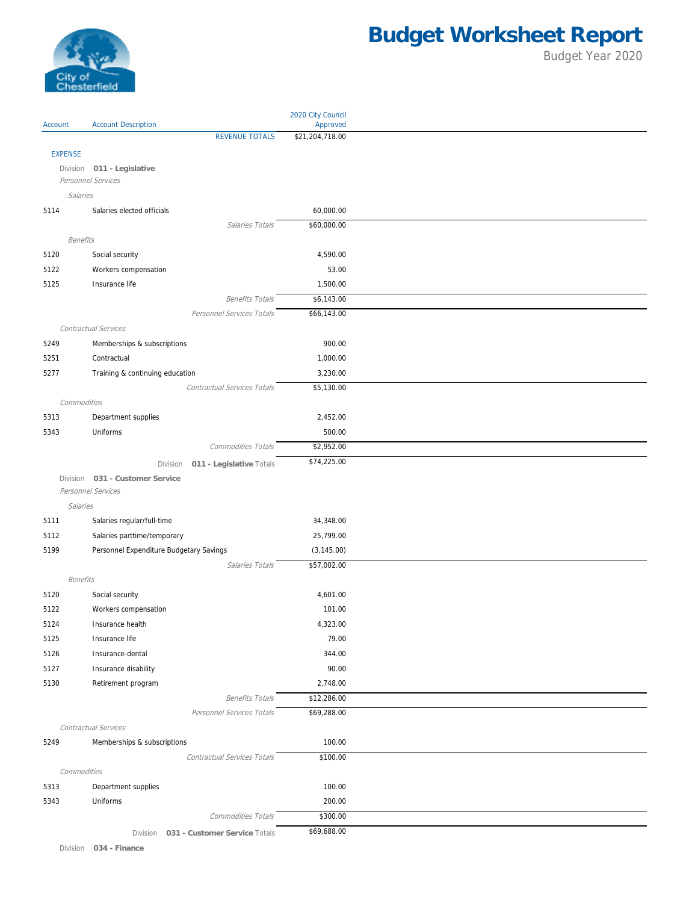

Budget Year 2020

|                |                                         | 2020 City Council |  |
|----------------|-----------------------------------------|-------------------|--|
| Account        | <b>Account Description</b>              | Approved          |  |
|                | <b>REVENUE TOTALS</b>                   | \$21,204,718.00   |  |
| <b>EXPENSE</b> |                                         |                   |  |
|                | Division 011 - Legislative              |                   |  |
|                | Personnel Services                      |                   |  |
|                | Salaries                                |                   |  |
| 5114           | Salaries elected officials              | 60,000.00         |  |
|                | Salaries Totals                         | \$60,000.00       |  |
|                |                                         |                   |  |
|                | <b>Benefits</b>                         |                   |  |
| 5120           | Social security                         | 4,590.00          |  |
| 5122           | Workers compensation                    | 53.00             |  |
| 5125           | Insurance life                          | 1,500.00          |  |
|                | <b>Benefits Totals</b>                  | \$6,143.00        |  |
|                | Personnel Services Totals               | \$66,143.00       |  |
|                | Contractual Services                    |                   |  |
| 5249           | Memberships & subscriptions             | 900.00            |  |
| 5251           | Contractual                             | 1,000.00          |  |
| 5277           | Training & continuing education         | 3,230.00          |  |
|                | Contractual Services Totals             | \$5,130.00        |  |
|                | Commodities                             |                   |  |
| 5313           | Department supplies                     | 2,452.00          |  |
|                | Uniforms                                |                   |  |
| 5343           |                                         | 500.00            |  |
|                | Commodities Totals                      | \$2,952.00        |  |
|                | 011 - Legislative Totals<br>Division    | \$74,225.00       |  |
|                | Division 031 - Customer Service         |                   |  |
|                | Personnel Services                      |                   |  |
|                | Salaries                                |                   |  |
| 5111           | Salaries regular/full-time              | 34,348.00         |  |
| 5112           | Salaries parttime/temporary             | 25,799.00         |  |
| 5199           | Personnel Expenditure Budgetary Savings | (3, 145.00)       |  |
|                | Salaries Totals                         | \$57,002.00       |  |
|                | <b>Benefits</b>                         |                   |  |
| 5120           | Social security                         | 4,601.00          |  |
| 5122           | Workers compensation                    | 101.00            |  |
| 5124           | Insurance health                        | 4,323.00          |  |
|                |                                         | 79.00             |  |
| 5125           | Insurance life                          |                   |  |
| 5126           | Insurance-dental                        | 344.00            |  |
| 5127           | Insurance disability                    | 90.00             |  |
| 5130           | Retirement program                      | 2,748.00          |  |
|                | <b>Benefits Totals</b>                  | \$12,286.00       |  |
|                | Personnel Services Totals               | \$69,288.00       |  |
|                | Contractual Services                    |                   |  |
| 5249           | Memberships & subscriptions             | 100.00            |  |
|                | Contractual Services Totals             | \$100.00          |  |
|                | Commodities                             |                   |  |
| 5313           | Department supplies                     | 100.00            |  |
| 5343           | Uniforms                                | 200.00            |  |
|                | Commodities Totals                      | \$300.00          |  |
|                |                                         | \$69,688.00       |  |
|                | Division 031 - Customer Service Totals  |                   |  |

Division **034 - Finance**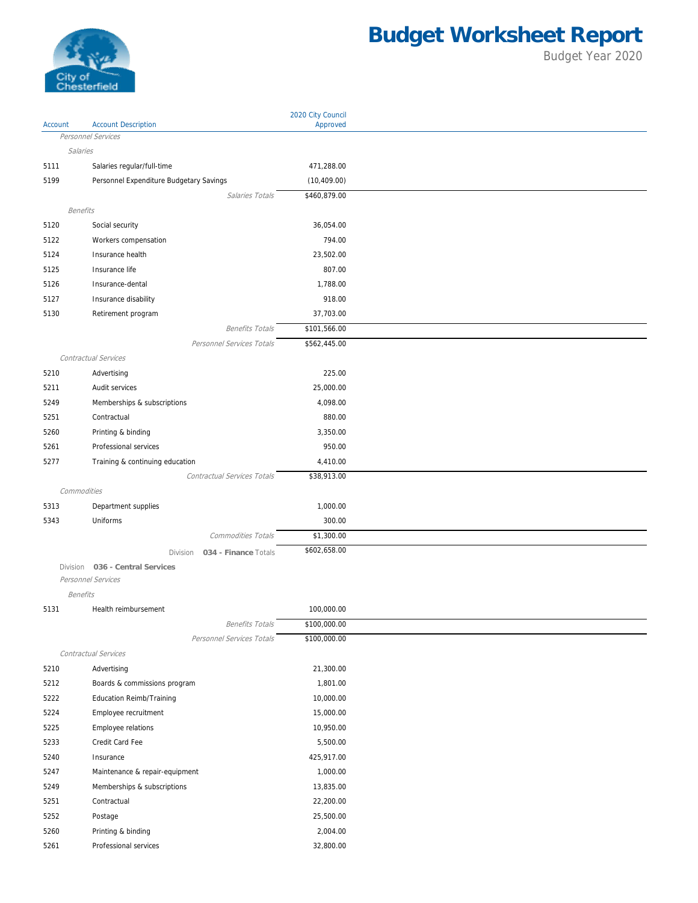

#### **Budget Worksheet Report** Budget Year 2020

|             |                                         | 2020 City Council |
|-------------|-----------------------------------------|-------------------|
| Account     | <b>Account Description</b>              | Approved          |
|             | Personnel Services                      |                   |
| Salaries    |                                         |                   |
| 5111        | Salaries regular/full-time              | 471,288.00        |
| 5199        | Personnel Expenditure Budgetary Savings | (10, 409.00)      |
|             | Salaries Totals                         | \$460,879.00      |
| Benefits    |                                         |                   |
| 5120        | Social security                         | 36,054.00         |
| 5122        | Workers compensation                    | 794.00            |
| 5124        | Insurance health                        | 23,502.00         |
| 5125        | Insurance life                          | 807.00            |
| 5126        | Insurance-dental                        | 1,788.00          |
| 5127        | Insurance disability                    | 918.00            |
| 5130        | Retirement program                      | 37,703.00         |
|             | <b>Benefits Totals</b>                  | \$101,566.00      |
|             | Personnel Services Totals               | \$562,445.00      |
|             | Contractual Services                    |                   |
| 5210        | Advertising                             | 225.00            |
| 5211        | Audit services                          | 25,000.00         |
| 5249        | Memberships & subscriptions             | 4,098.00          |
| 5251        | Contractual                             | 880.00            |
| 5260        | Printing & binding                      | 3,350.00          |
| 5261        | Professional services                   | 950.00            |
| 5277        | Training & continuing education         | 4,410.00          |
|             | Contractual Services Totals             | \$38,913.00       |
| Commodities |                                         |                   |
| 5313        | Department supplies                     | 1,000.00          |
| 5343        | Uniforms                                | 300.00            |
|             | Commodities Totals                      | \$1,300.00        |
|             | 034 - Finance Totals<br>Division        | \$602,658.00      |
|             | Division 036 - Central Services         |                   |
|             | Personnel Services                      |                   |
| Benefits    |                                         |                   |
| 5131        | Health reimbursement                    | 100,000.00        |
|             | <b>Benefits Totals</b>                  | \$100,000.00      |
|             | Personnel Services Totals               | \$100,000.00      |
|             | Contractual Services                    |                   |
| 5210        | Advertising                             | 21,300.00         |
| 5212        | Boards & commissions program            | 1,801.00          |
| 5222        | Education Reimb/Training                | 10,000.00         |
| 5224        |                                         |                   |
|             | Employee recruitment                    | 15,000.00         |
| 5225        | Employee relations                      | 10,950.00         |
| 5233        | Credit Card Fee                         | 5,500.00          |
| 5240        | Insurance                               | 425,917.00        |
| 5247        | Maintenance & repair-equipment          | 1,000.00          |
| 5249        | Memberships & subscriptions             | 13,835.00         |
| 5251        | Contractual                             | 22,200.00         |
| 5252        | Postage                                 | 25,500.00         |
| 5260        | Printing & binding                      | 2,004.00          |
| 5261        | Professional services                   | 32,800.00         |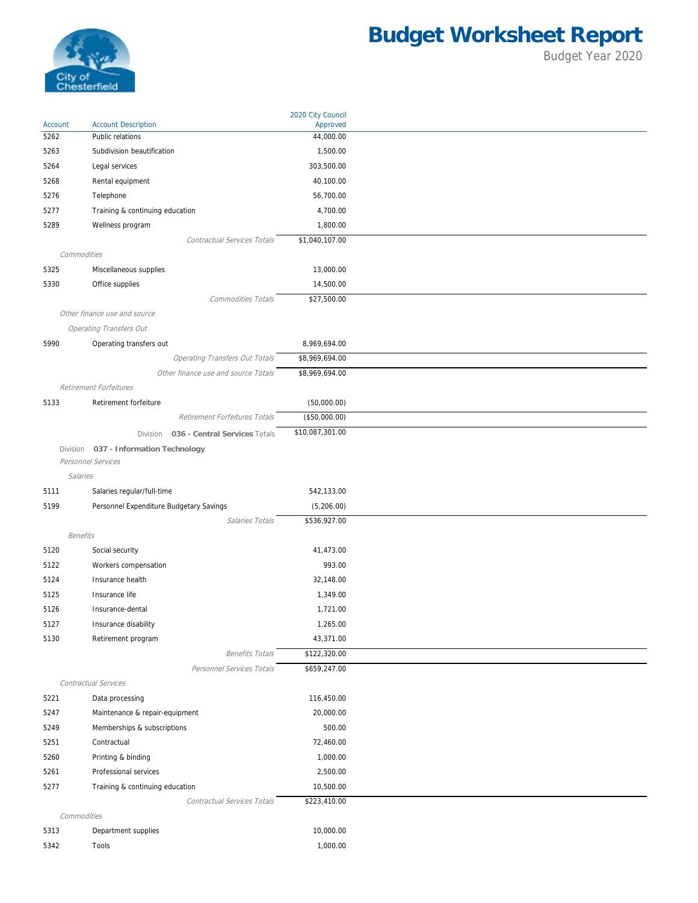

|                 |                                                     | 2020 City Council              |  |
|-----------------|-----------------------------------------------------|--------------------------------|--|
| Account<br>5262 | <b>Account Description</b><br>Public relations      | Approved<br>44,000.00          |  |
| 5263            | Subdivision beautification                          | 1,500.00                       |  |
| 5264            |                                                     | 303,500.00                     |  |
| 5268            | Legal services<br>Rental equipment                  | 40,100.00                      |  |
| 5276            | Telephone                                           | 56,700.00                      |  |
| 5277            |                                                     | 4,700.00                       |  |
| 5289            | Training & continuing education<br>Wellness program | 1,800.00                       |  |
|                 | Contractual Services Totals                         | \$1,040,107.00                 |  |
| Commodities     |                                                     |                                |  |
| 5325            | Miscellaneous supplies                              | 13,000.00                      |  |
| 5330            | Office supplies                                     | 14,500.00                      |  |
|                 | Commodities Totals                                  | \$27,500.00                    |  |
|                 | Other finance use and source                        |                                |  |
|                 |                                                     |                                |  |
|                 | <b>Operating Transfers Out</b>                      |                                |  |
| 5990            | Operating transfers out                             | 8,969,694.00<br>\$8,969,694.00 |  |
|                 | <b>Operating Transfers Out Totals</b>               |                                |  |
|                 | Other finance use and source Totals                 | \$8,969,694.00                 |  |
|                 | Retirement Forfeitures                              |                                |  |
| 5133            | Retirement forfeiture                               | (50,000.00)                    |  |
|                 | Retirement Forfeitures Totals                       | (\$50,000.00)                  |  |
|                 | Division 036 - Central Services Totals              | \$10,087,301.00                |  |
|                 | Division 037 - Information Technology               |                                |  |
|                 | Personnel Services                                  |                                |  |
| Salaries        |                                                     |                                |  |
| 5111            | Salaries regular/full-time                          | 542,133.00                     |  |
| 5199            | Personnel Expenditure Budgetary Savings             | (5,206.00)                     |  |
|                 | Salaries Totals                                     | \$536,927.00                   |  |
| <b>Benefits</b> |                                                     |                                |  |
| 5120            | Social security                                     | 41,473.00                      |  |
| 5122            | Workers compensation                                | 993.00                         |  |
| 5124            | Insurance health                                    | 32,148.00                      |  |
| 5125            | Insurance life                                      | 1,349.00                       |  |
| 5126            | Insurance-dental                                    | 1,721.00                       |  |
| 5127            | Insurance disability                                | 1,265.00                       |  |
| 5130            | Retirement program                                  | 43,371.00                      |  |
|                 | <b>Benefits Totals</b>                              | \$122,320.00                   |  |
|                 | Personnel Services Totals                           | \$659,247.00                   |  |
|                 | Contractual Services                                |                                |  |
| 5221            | Data processing                                     | 116,450.00                     |  |
| 5247            | Maintenance & repair-equipment                      | 20,000.00                      |  |
| 5249            | Memberships & subscriptions                         | 500.00                         |  |
| 5251            | Contractual                                         | 72,460.00                      |  |
| 5260            | Printing & binding                                  | 1,000.00                       |  |
| 5261            | Professional services                               | 2,500.00                       |  |
| 5277            | Training & continuing education                     | 10,500.00                      |  |
|                 | Contractual Services Totals                         | \$223,410.00                   |  |
| Commodities     |                                                     |                                |  |
| 5313            | Department supplies                                 | 10,000.00                      |  |
| 5342            | Tools                                               | 1,000.00                       |  |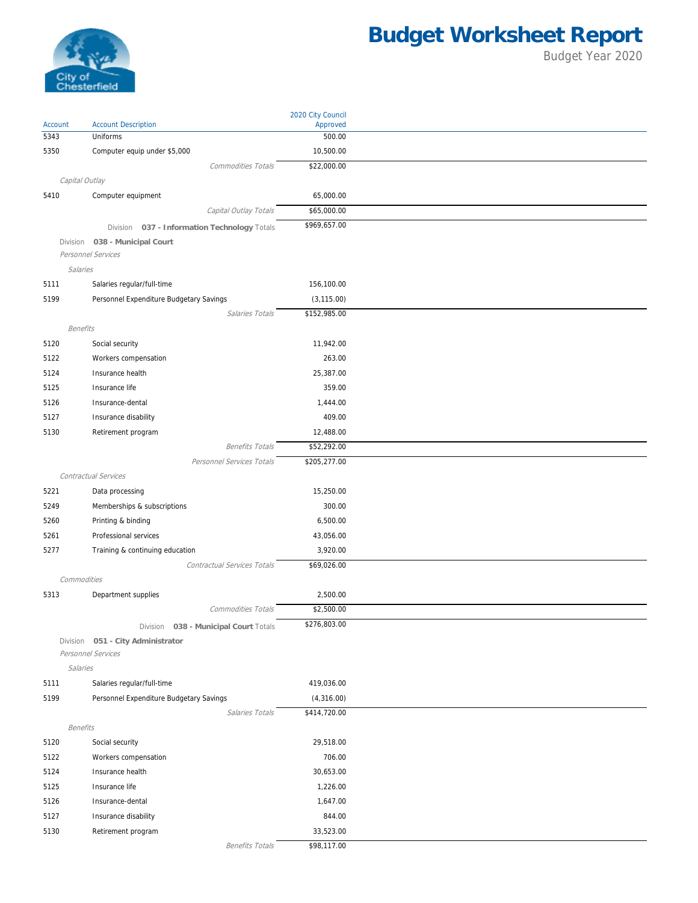

|         |                                                      | 2020 City Council |  |
|---------|------------------------------------------------------|-------------------|--|
| Account | <b>Account Description</b>                           | Approved          |  |
| 5343    | Uniforms                                             | 500.00            |  |
| 5350    | Computer equip under \$5,000                         | 10,500.00         |  |
|         | Commodities Totals                                   | \$22,000.00       |  |
| 5410    | Capital Outlay                                       | 65,000.00         |  |
|         | Computer equipment                                   | \$65,000.00       |  |
|         | Capital Outlay Totals                                | \$969,657.00      |  |
|         | Division 037 - Information Technology Totals         |                   |  |
|         | Division 038 - Municipal Court<br>Personnel Services |                   |  |
|         | Salaries                                             |                   |  |
| 5111    | Salaries regular/full-time                           | 156,100.00        |  |
| 5199    | Personnel Expenditure Budgetary Savings              | (3, 115.00)       |  |
|         | Salaries Totals                                      | \$152,985.00      |  |
|         | <b>Benefits</b>                                      |                   |  |
| 5120    | Social security                                      | 11,942.00         |  |
| 5122    | Workers compensation                                 | 263.00            |  |
| 5124    | Insurance health                                     | 25,387.00         |  |
| 5125    | Insurance life                                       | 359.00            |  |
| 5126    | Insurance-dental                                     | 1,444.00          |  |
| 5127    | Insurance disability                                 | 409.00            |  |
| 5130    | Retirement program                                   | 12,488.00         |  |
|         | <b>Benefits Totals</b>                               | \$52,292.00       |  |
|         | Personnel Services Totals                            | \$205,277.00      |  |
|         | Contractual Services                                 |                   |  |
| 5221    | Data processing                                      | 15,250.00         |  |
| 5249    | Memberships & subscriptions                          | 300.00            |  |
| 5260    | Printing & binding                                   | 6,500.00          |  |
| 5261    | Professional services                                | 43,056.00         |  |
| 5277    | Training & continuing education                      | 3,920.00          |  |
|         | Contractual Services Totals                          | \$69,026.00       |  |
|         | Commodities                                          |                   |  |
| 5313    | Department supplies                                  | 2,500.00          |  |
|         | Commodities Totals                                   | \$2,500.00        |  |
|         | Division 038 - Municipal Court Totals                | \$276,803.00      |  |
|         | Division 051 - City Administrator                    |                   |  |
|         | Personnel Services                                   |                   |  |
|         | Salaries                                             |                   |  |
| 5111    | Salaries regular/full-time                           | 419,036.00        |  |
| 5199    | Personnel Expenditure Budgetary Savings              | (4,316.00)        |  |
|         | Salaries Totals                                      | \$414,720.00      |  |
|         | Benefits                                             |                   |  |
| 5120    | Social security                                      | 29,518.00         |  |
| 5122    | Workers compensation                                 | 706.00            |  |
| 5124    | Insurance health                                     | 30,653.00         |  |
| 5125    | Insurance life                                       | 1,226.00          |  |
| 5126    | Insurance-dental                                     | 1,647.00          |  |
| 5127    | Insurance disability                                 | 844.00            |  |
| 5130    | Retirement program                                   | 33,523.00         |  |
|         | Benefits Totals                                      | \$98,117.00       |  |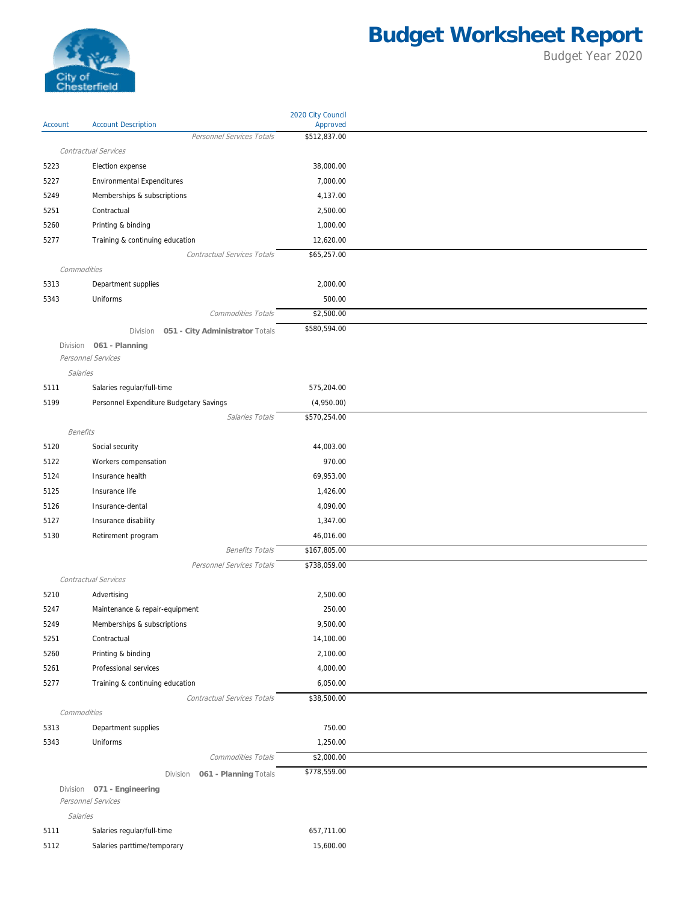

|         |                                          | 2020 City Council      |  |
|---------|------------------------------------------|------------------------|--|
| Account | <b>Account Description</b>               | Approved               |  |
|         | Personnel Services Totals                | \$512,837.00           |  |
|         | Contractual Services                     |                        |  |
| 5223    | Election expense                         | 38,000.00              |  |
| 5227    | <b>Environmental Expenditures</b>        | 7,000.00               |  |
| 5249    | Memberships & subscriptions              | 4,137.00               |  |
| 5251    | Contractual                              | 2,500.00               |  |
| 5260    | Printing & binding                       | 1,000.00               |  |
| 5277    | Training & continuing education          | 12,620.00              |  |
|         | Contractual Services Totals              | \$65,257.00            |  |
|         | Commodities                              |                        |  |
| 5313    | Department supplies                      | 2,000.00               |  |
| 5343    | Uniforms                                 | 500.00                 |  |
|         | Commodities Totals                       | \$2,500.00             |  |
|         | Division 051 - City Administrator Totals | \$580,594.00           |  |
|         | Division 061 - Planning                  |                        |  |
|         | Personnel Services                       |                        |  |
|         | Salaries                                 |                        |  |
| 5111    | Salaries regular/full-time               | 575,204.00             |  |
| 5199    | Personnel Expenditure Budgetary Savings  | (4,950.00)             |  |
|         | Salaries Totals                          | \$570,254.00           |  |
|         | Benefits                                 |                        |  |
| 5120    | Social security                          | 44,003.00              |  |
| 5122    | Workers compensation                     | 970.00                 |  |
| 5124    | Insurance health                         | 69,953.00              |  |
| 5125    | Insurance life                           | 1,426.00               |  |
| 5126    | Insurance-dental                         | 4,090.00               |  |
| 5127    | Insurance disability                     | 1,347.00               |  |
| 5130    | Retirement program                       | 46,016.00              |  |
|         | <b>Benefits Totals</b>                   | \$167,805.00           |  |
|         | Personnel Services Totals                | \$738,059.00           |  |
|         | Contractual Services                     |                        |  |
| 5210    | Advertising                              | 2,500.00               |  |
| 5247    | Maintenance & repair-equipment           | 250.00                 |  |
| 5249    | Memberships & subscriptions              | 9,500.00               |  |
| 5251    | Contractual                              | 14,100.00              |  |
| 5260    | Printing & binding                       | 2,100.00               |  |
| 5261    | Professional services                    | 4,000.00               |  |
| 5277    | Training & continuing education          | 6,050.00               |  |
|         | Contractual Services Totals              | \$38,500.00            |  |
|         | Commodities                              |                        |  |
| 5313    | Department supplies                      | 750.00                 |  |
| 5343    | Uniforms                                 |                        |  |
|         |                                          | 1,250.00<br>\$2,000.00 |  |
|         | Commodities Totals                       |                        |  |
|         | Division 061 - Planning Totals           | \$778,559.00           |  |
|         | Division 071 - Engineering               |                        |  |
|         | Personnel Services                       |                        |  |
|         | Salaries                                 |                        |  |
| 5111    | Salaries regular/full-time               | 657,711.00             |  |

5112 Salaries parttime/temporary 15,600.00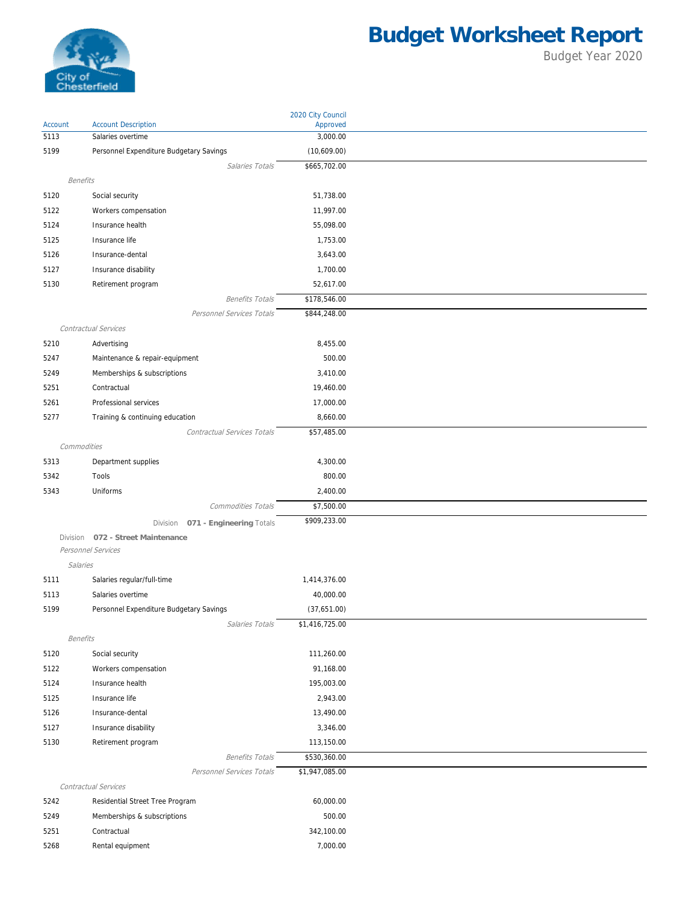

Account Account Description

# **Budget Worksheet Report**

Budget Year 2020 2020 City Council Approved Salaries Totals \$665,702.00 5113 Salaries overtime 3,000.00 5199 Personnel Expenditure Budgetary Savings (10,609.00)

|      | Salaries Totals                         | \$665,702.00   |
|------|-----------------------------------------|----------------|
|      | <b>Benefits</b>                         |                |
| 5120 | Social security                         | 51,738.00      |
| 5122 | Workers compensation                    | 11,997.00      |
| 5124 | Insurance health                        | 55,098.00      |
| 5125 | Insurance life                          | 1,753.00       |
| 5126 | Insurance-dental                        | 3,643.00       |
| 5127 | Insurance disability                    | 1,700.00       |
| 5130 | Retirement program                      | 52,617.00      |
|      | <b>Benefits Totals</b>                  | \$178,546.00   |
|      | Personnel Services Totals               | \$844,248.00   |
|      | Contractual Services                    |                |
| 5210 | Advertising                             | 8,455.00       |
| 5247 | Maintenance & repair-equipment          | 500.00         |
| 5249 | Memberships & subscriptions             | 3,410.00       |
| 5251 | Contractual                             | 19,460.00      |
|      |                                         |                |
| 5261 | Professional services                   | 17,000.00      |
| 5277 | Training & continuing education         | 8,660.00       |
|      | Contractual Services Totals             | \$57,485.00    |
|      | Commodities                             |                |
| 5313 | Department supplies                     | 4,300.00       |
| 5342 | Tools                                   | 800.00         |
| 5343 | Uniforms                                | 2,400.00       |
|      | Commodities Totals                      | \$7,500.00     |
|      | Division 071 - Engineering Totals       | \$909,233.00   |
|      | Division 072 - Street Maintenance       |                |
|      | Personnel Services                      |                |
|      | Salaries                                |                |
| 5111 | Salaries regular/full-time              | 1,414,376.00   |
| 5113 | Salaries overtime                       | 40,000.00      |
| 5199 | Personnel Expenditure Budgetary Savings | (37,651.00)    |
|      | Salaries Totals                         | \$1,416,725.00 |
|      | <b>Benefits</b>                         |                |
| 5120 | Social security                         | 111,260.00     |
| 5122 | Workers compensation                    | 91,168.00      |
| 5124 | Insurance health                        | 195,003.00     |
| 5125 | Insurance life                          | 2,943.00       |
| 5126 | Insurance-dental                        | 13,490.00      |
| 5127 | Insurance disability                    | 3,346.00       |
| 5130 | Retirement program                      | 113,150.00     |
|      | <b>Benefits Totals</b>                  | \$530,360.00   |
|      | Personnel Services Totals               |                |
|      |                                         | \$1,947,085.00 |
|      | Contractual Services                    |                |
| 5242 | Residential Street Tree Program         | 60,000.00      |
| 5249 | Memberships & subscriptions             | 500.00         |
| 5251 | Contractual                             | 342,100.00     |
| 5268 | Rental equipment                        | 7,000.00       |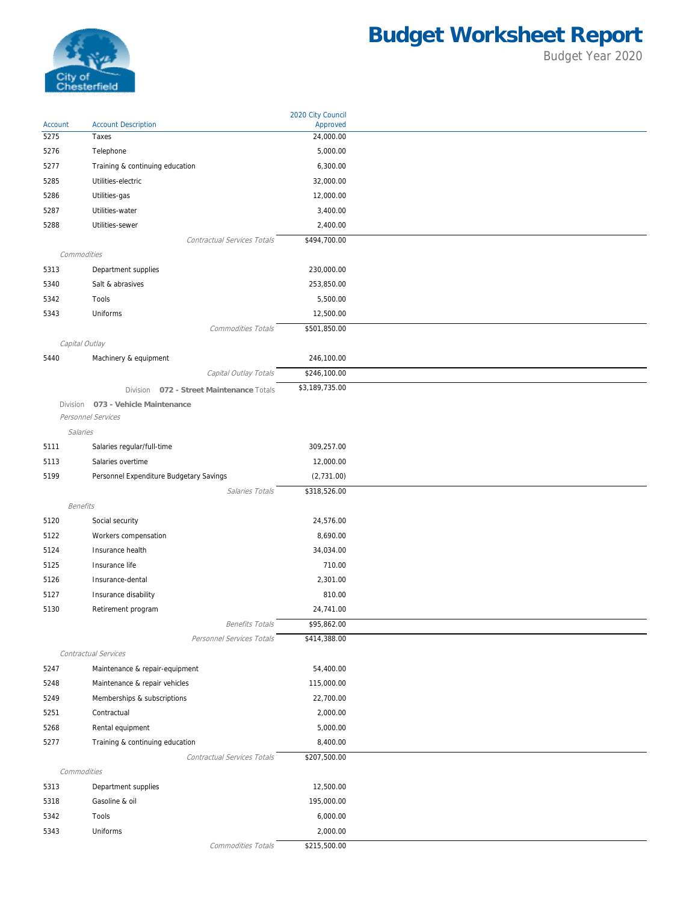

|          |                                          | 2020 City Council |  |  |
|----------|------------------------------------------|-------------------|--|--|
| Account  | <b>Account Description</b>               | Approved          |  |  |
| 5275     | Taxes                                    | 24,000.00         |  |  |
| 5276     | Telephone                                | 5,000.00          |  |  |
| 5277     | Training & continuing education          | 6,300.00          |  |  |
| 5285     | Utilities-electric                       | 32,000.00         |  |  |
| 5286     | Utilities-gas                            | 12,000.00         |  |  |
| 5287     | Utilities-water                          | 3,400.00          |  |  |
| 5288     | Utilities-sewer                          | 2,400.00          |  |  |
|          | Contractual Services Totals              | \$494,700.00      |  |  |
|          | Commodities                              |                   |  |  |
| 5313     | Department supplies                      | 230,000.00        |  |  |
| 5340     | Salt & abrasives                         | 253,850.00        |  |  |
| 5342     | Tools                                    | 5,500.00          |  |  |
| 5343     | Uniforms                                 | 12,500.00         |  |  |
|          | Commodities Totals                       | \$501,850.00      |  |  |
|          | Capital Outlay                           |                   |  |  |
| 5440     | Machinery & equipment                    | 246,100.00        |  |  |
|          | Capital Outlay Totals                    | \$246,100.00      |  |  |
|          | Division 072 - Street Maintenance Totals | \$3,189,735.00    |  |  |
|          | Division 073 - Vehicle Maintenance       |                   |  |  |
|          | Personnel Services                       |                   |  |  |
| Salaries |                                          |                   |  |  |
|          |                                          |                   |  |  |
| 5111     | Salaries regular/full-time               | 309,257.00        |  |  |
| 5113     | Salaries overtime                        | 12,000.00         |  |  |
| 5199     | Personnel Expenditure Budgetary Savings  | (2,731.00)        |  |  |
|          | Salaries Totals                          | \$318,526.00      |  |  |
|          | Benefits                                 |                   |  |  |
| 5120     | Social security                          | 24,576.00         |  |  |
| 5122     | Workers compensation                     | 8,690.00          |  |  |
| 5124     | Insurance health                         | 34,034.00         |  |  |
| 5125     | Insurance life                           | 710.00            |  |  |
| 5126     | Insurance-dental                         | 2,301.00          |  |  |
| 5127     | Insurance disability                     | 810.00            |  |  |
| 5130     | Retirement program                       | 24,741.00         |  |  |
|          | <b>Benefits Totals</b>                   | \$95,862.00       |  |  |
|          | Personnel Services Totals                | \$414,388.00      |  |  |
|          | Contractual Services                     |                   |  |  |
| 5247     | Maintenance & repair-equipment           | 54,400.00         |  |  |
| 5248     | Maintenance & repair vehicles            | 115,000.00        |  |  |
| 5249     | Memberships & subscriptions              | 22,700.00         |  |  |
| 5251     | Contractual                              | 2,000.00          |  |  |
| 5268     | Rental equipment                         | 5,000.00          |  |  |
| 5277     |                                          |                   |  |  |
|          | Training & continuing education          | 8,400.00          |  |  |
|          | Contractual Services Totals              | \$207,500.00      |  |  |
|          | Commodities                              |                   |  |  |
| 5313     | Department supplies                      | 12,500.00         |  |  |
| 5318     | Gasoline & oil                           | 195,000.00        |  |  |
| 5342     | Tools                                    | 6,000.00          |  |  |
| 5343     | Uniforms                                 | 2,000.00          |  |  |
|          | Commodities Totals                       | \$215,500.00      |  |  |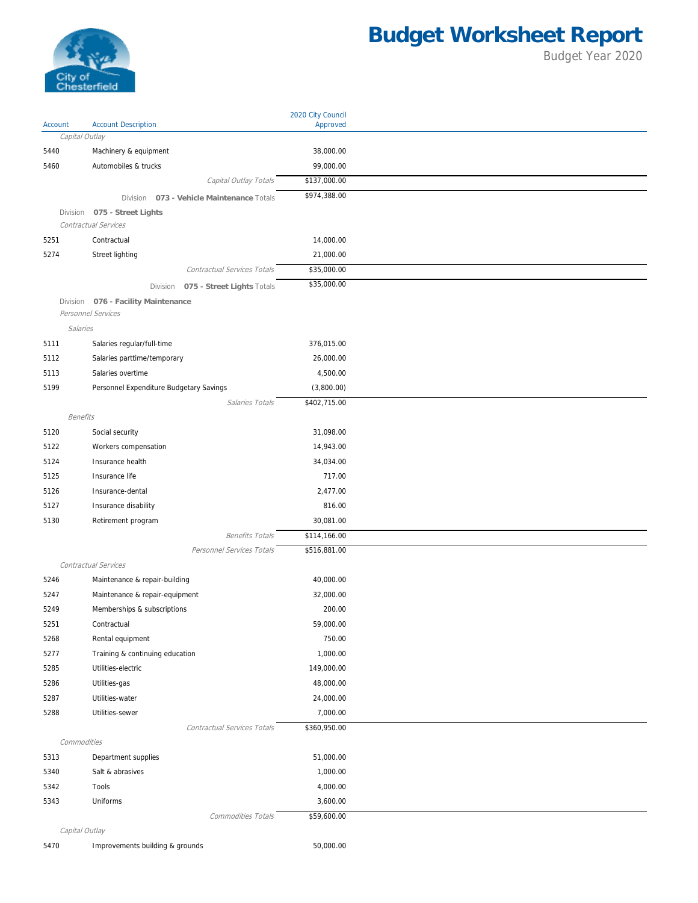

|         |                                           | 2020 City Council |
|---------|-------------------------------------------|-------------------|
| Account | <b>Account Description</b>                | Approved          |
|         | Capital Outlay                            |                   |
| 5440    | Machinery & equipment                     | 38,000.00         |
| 5460    | Automobiles & trucks                      | 99,000.00         |
|         | Capital Outlay Totals                     | \$137,000.00      |
|         | Division 073 - Vehicle Maintenance Totals | \$974,388.00      |
|         | Division 075 - Street Lights              |                   |
|         | Contractual Services                      |                   |
| 5251    | Contractual                               | 14,000.00         |
| 5274    | Street lighting                           | 21,000.00         |
|         | Contractual Services Totals               | \$35,000.00       |
|         | Division 075 - Street Lights Totals       | \$35,000.00       |
|         | Division 076 - Facility Maintenance       |                   |
|         | Personnel Services                        |                   |
|         | Salaries                                  |                   |
|         |                                           |                   |
| 5111    | Salaries regular/full-time                | 376,015.00        |
| 5112    | Salaries parttime/temporary               | 26,000.00         |
| 5113    | Salaries overtime                         | 4,500.00          |
| 5199    | Personnel Expenditure Budgetary Savings   | (3,800.00)        |
|         | Salaries Totals                           | \$402,715.00      |
|         | Benefits                                  |                   |
| 5120    | Social security                           | 31,098.00         |
| 5122    | Workers compensation                      | 14,943.00         |
| 5124    | Insurance health                          | 34,034.00         |
| 5125    | Insurance life                            | 717.00            |
| 5126    | Insurance-dental                          | 2,477.00          |
| 5127    | Insurance disability                      | 816.00            |
| 5130    | Retirement program                        | 30,081.00         |
|         | <b>Benefits Totals</b>                    | \$114,166.00      |
|         | Personnel Services Totals                 | \$516,881.00      |
|         | Contractual Services                      |                   |
| 5246    | Maintenance & repair-building             | 40,000.00         |
| 5247    | Maintenance & repair-equipment            | 32,000.00         |
|         |                                           |                   |
| 5249    | Memberships & subscriptions               | 200.00            |
| 5251    | Contractual                               | 59,000.00         |
| 5268    | Rental equipment                          | 750.00            |
| 5277    | Training & continuing education           | 1,000.00          |
| 5285    | Utilities-electric                        | 149,000.00        |
| 5286    | Utilities-gas                             | 48,000.00         |
| 5287    | Utilities-water                           | 24,000.00         |
| 5288    | Utilities-sewer                           | 7,000.00          |
|         | Contractual Services Totals               | \$360,950.00      |
|         | Commodities                               |                   |
| 5313    | Department supplies                       | 51,000.00         |
| 5340    | Salt & abrasives                          | 1,000.00          |
| 5342    | Tools                                     | 4,000.00          |
| 5343    | Uniforms                                  | 3,600.00          |
|         | Commodities Totals                        | \$59,600.00       |
|         | Capital Outlay                            |                   |
| 5470    | Improvements building & grounds           | 50,000.00         |
|         |                                           |                   |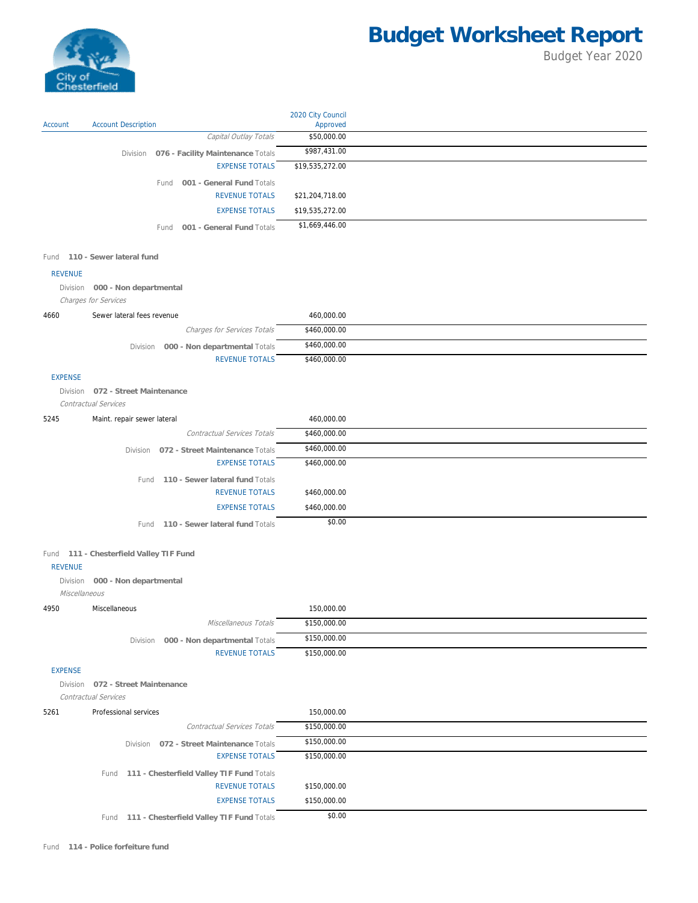

|                           |                                                                 | 2020 City Council       |
|---------------------------|-----------------------------------------------------------------|-------------------------|
| Account                   | <b>Account Description</b><br>Capital Outlay Totals             | Approved<br>\$50,000.00 |
|                           | Division 076 - Facility Maintenance Totals                      | \$987,431.00            |
|                           | <b>EXPENSE TOTALS</b>                                           | \$19,535,272.00         |
|                           | 001 - General Fund Totals<br>Fund                               |                         |
|                           | <b>REVENUE TOTALS</b>                                           | \$21,204,718.00         |
|                           | <b>EXPENSE TOTALS</b>                                           | \$19,535,272.00         |
|                           | 001 - General Fund Totals<br>Fund                               | \$1,669,446.00          |
|                           |                                                                 |                         |
|                           | Fund 110 - Sewer lateral fund                                   |                         |
| <b>REVENUE</b>            |                                                                 |                         |
|                           | Division 000 - Non departmental                                 |                         |
| 4660                      | Charges for Services<br>Sewer lateral fees revenue              | 460,000.00              |
|                           | Charges for Services Totals                                     | \$460,000.00            |
|                           |                                                                 | \$460,000.00            |
|                           | Division 000 - Non departmental Totals<br><b>REVENUE TOTALS</b> | \$460,000.00            |
| <b>EXPENSE</b>            |                                                                 |                         |
|                           | Division 072 - Street Maintenance                               |                         |
|                           | Contractual Services                                            |                         |
| 5245                      | Maint. repair sewer lateral                                     | 460,000.00              |
|                           | Contractual Services Totals                                     | \$460,000.00            |
|                           | 072 - Street Maintenance Totals<br>Division                     | \$460,000.00            |
|                           | <b>EXPENSE TOTALS</b>                                           | \$460,000.00            |
|                           | 110 - Sewer lateral fund Totals<br>Fund                         |                         |
|                           | <b>REVENUE TOTALS</b>                                           | \$460,000.00            |
|                           | <b>EXPENSE TOTALS</b>                                           | \$460,000.00            |
|                           | 110 - Sewer lateral fund Totals<br>Fund                         | \$0.00                  |
|                           |                                                                 |                         |
|                           | Fund 111 - Chesterfield Valley TIF Fund                         |                         |
| <b>REVENUE</b>            |                                                                 |                         |
| Division<br>Miscellaneous | 000 - Non departmental                                          |                         |
| 4950                      | Miscellaneous                                                   | 150,000.00              |
|                           | Miscellaneous Totals                                            | \$150,000.00            |
|                           | Division 000 - Non departmental Totals                          | \$150,000.00            |
|                           | <b>REVENUE TOTALS</b>                                           | \$150,000.00            |
| <b>EXPENSE</b>            |                                                                 |                         |
|                           | Division 072 - Street Maintenance                               |                         |
|                           | Contractual Services                                            |                         |
| 5261                      | Professional services                                           | 150,000.00              |
|                           | Contractual Services Totals                                     | \$150,000.00            |
|                           | Division 072 - Street Maintenance Totals                        | \$150,000.00            |
|                           | <b>EXPENSE TOTALS</b>                                           | \$150,000.00            |
|                           | Fund 111 - Chesterfield Valley TIF Fund Totals                  |                         |
|                           | <b>REVENUE TOTALS</b>                                           | \$150,000.00            |
|                           | <b>EXPENSE TOTALS</b>                                           | \$150,000.00            |
|                           | Fund 111 - Chesterfield Valley TIF Fund Totals                  | \$0.00                  |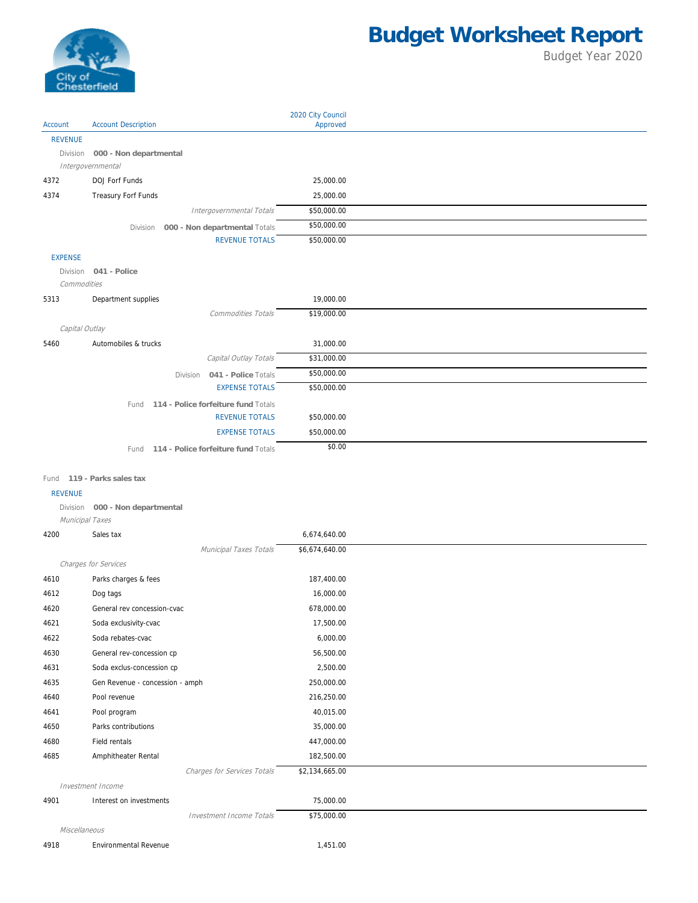

Budget Year 2020

| Account         | <b>Account Description</b>               | Approved       |  |
|-----------------|------------------------------------------|----------------|--|
| <b>REVENUE</b>  |                                          |                |  |
| Division        | 000 - Non departmental                   |                |  |
|                 | Intergovernmental                        |                |  |
| 4372            | DOJ Forf Funds                           | 25,000.00      |  |
| 4374            | Treasury Forf Funds                      | 25,000.00      |  |
|                 | Intergovernmental Totals                 | \$50,000.00    |  |
|                 | Division 000 - Non departmental Totals   | \$50,000.00    |  |
|                 | <b>REVENUE TOTALS</b>                    | \$50,000.00    |  |
| <b>EXPENSE</b>  |                                          |                |  |
|                 | Division 041 - Police                    |                |  |
| Commodities     |                                          |                |  |
| 5313            | Department supplies                      | 19,000.00      |  |
|                 | Commodities Totals                       | \$19,000.00    |  |
| Capital Outlay  |                                          |                |  |
| 5460            | Automobiles & trucks                     | 31,000.00      |  |
|                 | Capital Outlay Totals                    | \$31,000.00    |  |
|                 | 041 - Police Totals<br>Division          | \$50,000.00    |  |
|                 | <b>EXPENSE TOTALS</b>                    | \$50,000.00    |  |
|                 | Fund 114 - Police forfeiture fund Totals |                |  |
|                 | <b>REVENUE TOTALS</b>                    | \$50,000.00    |  |
|                 | <b>EXPENSE TOTALS</b>                    | \$50,000.00    |  |
|                 |                                          | \$0.00         |  |
|                 | Fund 114 - Police forfeiture fund Totals |                |  |
|                 |                                          |                |  |
|                 | Fund 119 - Parks sales tax               |                |  |
| <b>REVENUE</b>  |                                          |                |  |
| Municipal Taxes | Division 000 - Non departmental          |                |  |
| 4200            | Sales tax                                | 6,674,640.00   |  |
|                 | Municipal Taxes Totals                   | \$6,674,640.00 |  |
|                 | Charges for Services                     |                |  |
| 4610            | Parks charges & fees                     | 187,400.00     |  |
| 4612            | Dog tags                                 | 16,000.00      |  |
| 4620            | General rev concession-cvac              | 678,000.00     |  |
| 4621            |                                          | 17,500.00      |  |
|                 | Soda exclusivity-cvac                    |                |  |
| 4622            | Soda rebates-cvac                        | 6,000.00       |  |
| 4630            | General rev-concession cp                | 56,500.00      |  |
| 4631            | Soda exclus-concession cp                | 2,500.00       |  |
| 4635            | Gen Revenue - concession - amph          | 250,000.00     |  |
| 4640            | Pool revenue                             | 216,250.00     |  |
| 4641            | Pool program                             | 40,015.00      |  |
| 4650            | Parks contributions                      | 35,000.00      |  |
| 4680            | Field rentals                            | 447,000.00     |  |
| 4685            | Amphitheater Rental                      | 182,500.00     |  |
|                 | Charges for Services Totals              | \$2,134,665.00 |  |
|                 | Investment Income                        |                |  |
| 4901            | Interest on investments                  | 75,000.00      |  |
|                 | Investment Income Totals                 | \$75,000.00    |  |
| Miscellaneous   |                                          |                |  |
| 4918            | Environmental Revenue                    | 1,451.00       |  |
|                 |                                          |                |  |

2020 City Council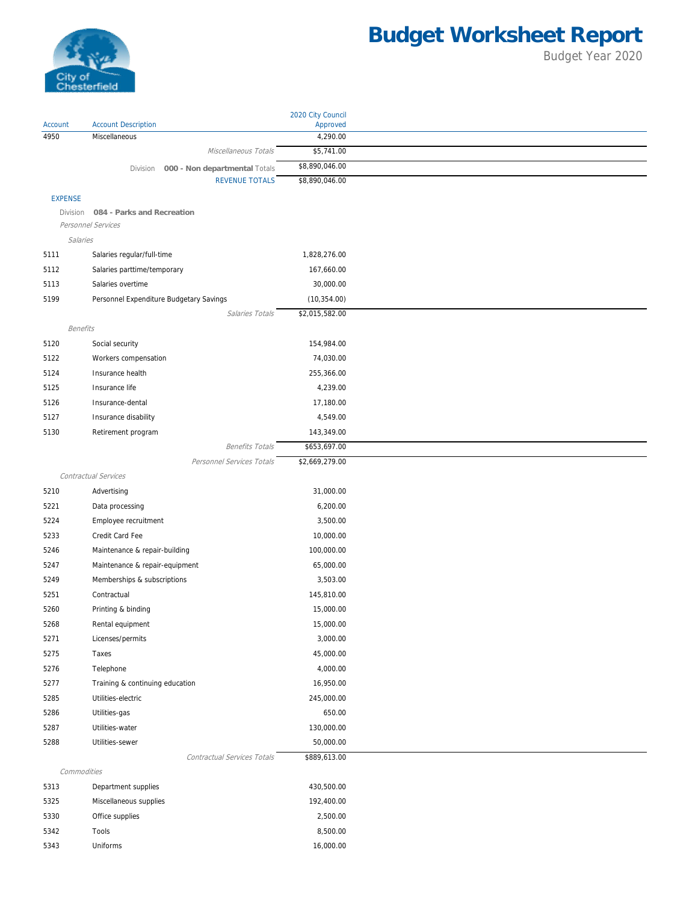

|                 |                                           | 2020 City Council |  |
|-----------------|-------------------------------------------|-------------------|--|
| Account         | <b>Account Description</b>                | Approved          |  |
| 4950            | Miscellaneous                             | 4,290.00          |  |
|                 | Miscellaneous Totals                      | \$5,741.00        |  |
|                 | 000 - Non departmental Totals<br>Division | \$8,890,046.00    |  |
|                 | <b>REVENUE TOTALS</b>                     | \$8,890,046.00    |  |
| <b>EXPENSE</b>  |                                           |                   |  |
| Division        | 084 - Parks and Recreation                |                   |  |
| Salaries        | Personnel Services                        |                   |  |
| 5111            | Salaries regular/full-time                | 1,828,276.00      |  |
| 5112            | Salaries parttime/temporary               | 167,660.00        |  |
| 5113            | Salaries overtime                         | 30,000.00         |  |
| 5199            | Personnel Expenditure Budgetary Savings   | (10, 354.00)      |  |
|                 | Salaries Totals                           | \$2,015,582.00    |  |
| <b>Benefits</b> |                                           |                   |  |
| 5120            | Social security                           | 154,984.00        |  |
| 5122            | Workers compensation                      | 74,030.00         |  |
| 5124            | Insurance health                          | 255,366.00        |  |
| 5125            | Insurance life                            | 4,239.00          |  |
| 5126            | Insurance-dental                          | 17,180.00         |  |
| 5127            | Insurance disability                      | 4,549.00          |  |
| 5130            | Retirement program                        | 143,349.00        |  |
|                 | <b>Benefits Totals</b>                    | \$653,697.00      |  |
|                 | Personnel Services Totals                 | \$2,669,279.00    |  |
|                 | Contractual Services                      |                   |  |
| 5210            | Advertising                               | 31,000.00         |  |
| 5221            | Data processing                           | 6,200.00          |  |
| 5224            | Employee recruitment                      | 3,500.00          |  |
| 5233            | Credit Card Fee                           | 10,000.00         |  |
| 5246            | Maintenance & repair-building             | 100,000.00        |  |
| 5247            | Maintenance & repair-equipment            | 65,000.00         |  |
| 5249            | Memberships & subscriptions               | 3,503.00          |  |
| 5251            | Contractual                               | 145,810.00        |  |
| 5260            | Printing & binding                        | 15,000.00         |  |
| 5268            | Rental equipment                          | 15,000.00         |  |
| 5271            | Licenses/permits                          | 3,000.00          |  |
| 5275            | Taxes                                     | 45,000.00         |  |
| 5276            | Telephone                                 | 4,000.00          |  |
| 5277            | Training & continuing education           | 16,950.00         |  |
| 5285            | Utilities-electric                        | 245,000.00        |  |
| 5286            | Utilities-gas                             | 650.00            |  |
| 5287            | Utilities-water                           | 130,000.00        |  |
| 5288            | Utilities-sewer                           | 50,000.00         |  |
|                 | Contractual Services Totals               | \$889,613.00      |  |
| Commodities     |                                           |                   |  |
| 5313            | Department supplies                       | 430,500.00        |  |
| 5325            | Miscellaneous supplies                    | 192,400.00        |  |
| 5330            | Office supplies                           | 2,500.00          |  |
| 5342            | Tools                                     | 8,500.00          |  |
| 5343            | Uniforms                                  | 16,000.00         |  |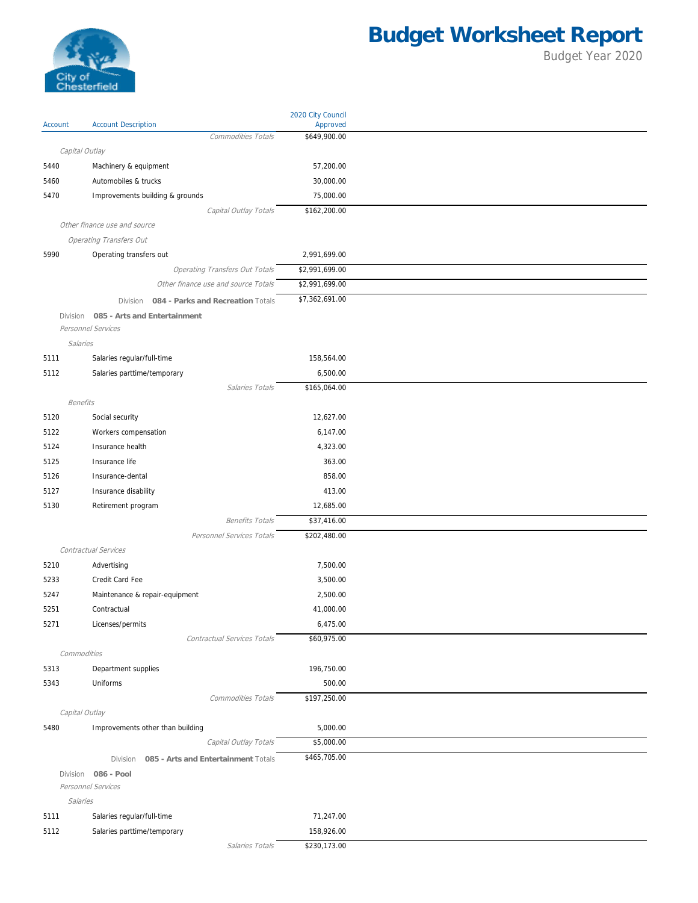

|                |                                                 | 2020 City Council |  |
|----------------|-------------------------------------------------|-------------------|--|
| Account        | <b>Account Description</b>                      | Approved          |  |
|                | Commodities Totals                              | \$649,900.00      |  |
| Capital Outlay |                                                 |                   |  |
| 5440           | Machinery & equipment                           | 57,200.00         |  |
| 5460           | Automobiles & trucks                            | 30,000.00         |  |
| 5470           | Improvements building & grounds                 | 75,000.00         |  |
|                | Capital Outlay Totals                           | \$162,200.00      |  |
|                | Other finance use and source                    |                   |  |
|                | <b>Operating Transfers Out</b>                  |                   |  |
| 5990           | Operating transfers out                         | 2,991,699.00      |  |
|                | <b>Operating Transfers Out Totals</b>           | \$2,991,699.00    |  |
|                | Other finance use and source Totals             | \$2,991,699.00    |  |
|                | 084 - Parks and Recreation Totals<br>Division   | \$7,362,691.00    |  |
| Division       | 085 - Arts and Entertainment                    |                   |  |
|                | Personnel Services                              |                   |  |
| Salaries       |                                                 |                   |  |
| 5111           | Salaries regular/full-time                      | 158,564.00        |  |
| 5112           | Salaries parttime/temporary                     | 6,500.00          |  |
|                | Salaries Totals                                 | \$165,064.00      |  |
| Benefits       |                                                 |                   |  |
| 5120           | Social security                                 | 12,627.00         |  |
| 5122           | Workers compensation                            | 6,147.00          |  |
| 5124           | Insurance health                                | 4,323.00          |  |
| 5125           | Insurance life                                  | 363.00            |  |
| 5126           | Insurance-dental                                | 858.00            |  |
| 5127           | Insurance disability                            | 413.00            |  |
| 5130           | Retirement program                              | 12,685.00         |  |
|                | <b>Benefits Totals</b>                          | \$37,416.00       |  |
|                | Personnel Services Totals                       | \$202,480.00      |  |
|                | Contractual Services                            |                   |  |
|                |                                                 |                   |  |
| 5210           | Advertising                                     | 7,500.00          |  |
| 5233           | Credit Card Fee                                 | 3,500.00          |  |
| 5247           | Maintenance & repair-equipment                  | 2,500.00          |  |
| 5251           | Contractual                                     | 41,000.00         |  |
| 5271           | Licenses/permits                                | 6,475.00          |  |
|                | Contractual Services Totals                     | \$60,975.00       |  |
| Commodities    |                                                 |                   |  |
| 5313           | Department supplies                             | 196,750.00        |  |
| 5343           | Uniforms                                        | 500.00            |  |
|                | Commodities Totals                              | \$197,250.00      |  |
| Capital Outlay |                                                 |                   |  |
| 5480           | Improvements other than building                | 5,000.00          |  |
|                | Capital Outlay Totals                           | \$5,000.00        |  |
|                | 085 - Arts and Entertainment Totals<br>Division | \$465,705.00      |  |
|                | Division 086 - Pool                             |                   |  |
|                | Personnel Services                              |                   |  |
| Salaries       |                                                 |                   |  |
| 5111           | Salaries regular/full-time                      | 71,247.00         |  |
| 5112           | Salaries parttime/temporary                     | 158,926.00        |  |
|                | Salaries Totals                                 | \$230,173.00      |  |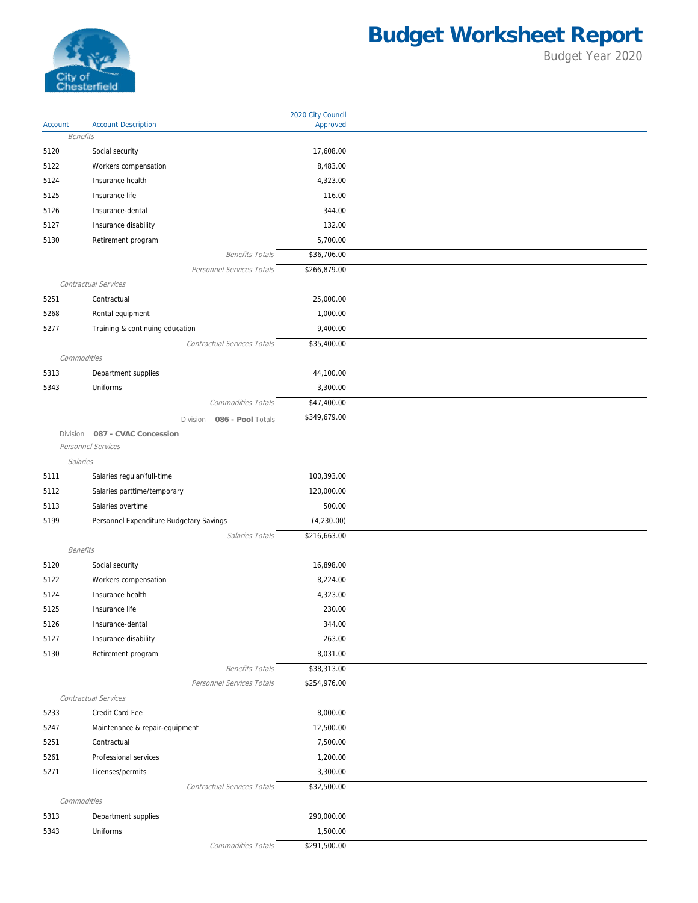

|             |                                          | 2020 City Council |  |
|-------------|------------------------------------------|-------------------|--|
| Account     | <b>Account Description</b>               | Approved          |  |
| Benefits    |                                          |                   |  |
| 5120        | Social security                          | 17,608.00         |  |
| 5122        | Workers compensation                     | 8,483.00          |  |
| 5124        | Insurance health                         | 4,323.00          |  |
| 5125        | Insurance life                           | 116.00            |  |
| 5126        | Insurance-dental                         | 344.00            |  |
| 5127        | Insurance disability                     | 132.00            |  |
| 5130        | Retirement program                       | 5,700.00          |  |
|             | <b>Benefits Totals</b>                   | \$36,706.00       |  |
|             | Personnel Services Totals                | \$266,879.00      |  |
|             | Contractual Services                     |                   |  |
| 5251        | Contractual                              | 25,000.00         |  |
| 5268        | Rental equipment                         | 1,000.00          |  |
| 5277        | Training & continuing education          | 9,400.00          |  |
|             | Contractual Services Totals              | \$35,400.00       |  |
| Commodities |                                          |                   |  |
| 5313        | Department supplies                      | 44,100.00         |  |
| 5343        | Uniforms                                 | 3,300.00          |  |
|             | Commodities Totals                       | \$47,400.00       |  |
|             | Division 086 - Pool Totals               | \$349,679.00      |  |
|             | Division 087 - CVAC Concession           |                   |  |
|             | Personnel Services                       |                   |  |
| Salaries    |                                          |                   |  |
| 5111        | Salaries regular/full-time               | 100,393.00        |  |
| 5112        | Salaries parttime/temporary              | 120,000.00        |  |
| 5113        | Salaries overtime                        | 500.00            |  |
| 5199        | Personnel Expenditure Budgetary Savings  | (4,230.00)        |  |
|             | Salaries Totals                          | \$216,663.00      |  |
| Benefits    |                                          |                   |  |
| 5120        | Social security                          | 16,898.00         |  |
|             |                                          |                   |  |
| 5122        | Workers compensation<br>Insurance health | 8,224.00          |  |
| 5124        |                                          | 4,323.00          |  |
| 5125        | Insurance life                           | 230.00            |  |
| 5126        | Insurance-dental                         | 344.00            |  |
| 5127        | Insurance disability                     | 263.00            |  |
| 5130        | Retirement program                       | 8,031.00          |  |
|             | <b>Benefits Totals</b>                   | \$38,313.00       |  |
|             | Personnel Services Totals                | \$254,976.00      |  |
|             | Contractual Services                     |                   |  |
| 5233        | Credit Card Fee                          | 8,000.00          |  |
| 5247        | Maintenance & repair-equipment           | 12,500.00         |  |
| 5251        | Contractual                              | 7,500.00          |  |
| 5261        | Professional services                    | 1,200.00          |  |
| 5271        | Licenses/permits                         | 3,300.00          |  |
|             | Contractual Services Totals              | \$32,500.00       |  |
| Commodities |                                          |                   |  |
| 5313        | Department supplies                      | 290,000.00        |  |
| 5343        | Uniforms                                 | 1,500.00          |  |
|             | Commodities Totals                       | \$291,500.00      |  |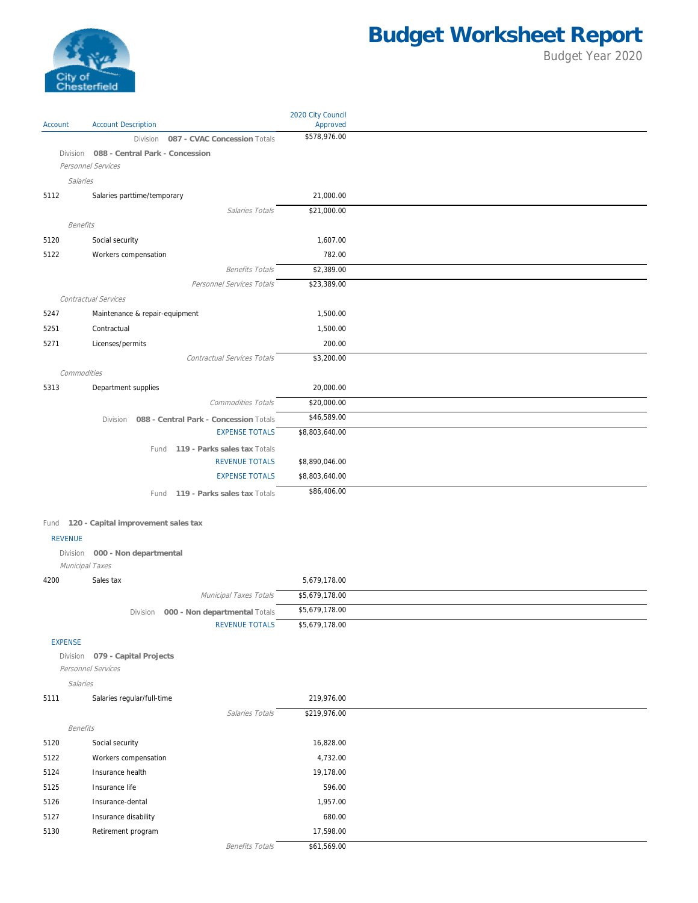

|                |                                                                        | 2020 City Council                |  |
|----------------|------------------------------------------------------------------------|----------------------------------|--|
| Account        | <b>Account Description</b><br>087 - CVAC Concession Totals<br>Division | Approved<br>\$578,976.00         |  |
|                | Division 088 - Central Park - Concession                               |                                  |  |
|                | Personnel Services                                                     |                                  |  |
| Salaries       |                                                                        |                                  |  |
| 5112           | Salaries parttime/temporary                                            | 21,000.00                        |  |
|                | Salaries Totals                                                        | \$21,000.00                      |  |
| Benefits       |                                                                        |                                  |  |
| 5120           | Social security                                                        | 1,607.00                         |  |
| 5122           | Workers compensation                                                   | 782.00                           |  |
|                | <b>Benefits Totals</b>                                                 | \$2,389.00                       |  |
|                | Personnel Services Totals                                              | \$23,389.00                      |  |
|                | Contractual Services                                                   |                                  |  |
| 5247           | Maintenance & repair-equipment                                         | 1,500.00                         |  |
| 5251           | Contractual                                                            | 1,500.00                         |  |
| 5271           | Licenses/permits                                                       | 200.00                           |  |
|                | Contractual Services Totals                                            | \$3,200.00                       |  |
| Commodities    |                                                                        |                                  |  |
| 5313           | Department supplies                                                    | 20,000.00                        |  |
|                | Commodities Totals                                                     | \$20,000.00                      |  |
|                | 088 - Central Park - Concession Totals<br>Division                     | \$46,589.00                      |  |
|                | <b>EXPENSE TOTALS</b>                                                  | \$8,803,640.00                   |  |
|                | Fund<br>119 - Parks sales tax Totals                                   |                                  |  |
|                | <b>REVENUE TOTALS</b><br><b>EXPENSE TOTALS</b>                         | \$8,890,046.00<br>\$8,803,640.00 |  |
|                |                                                                        | \$86,406.00                      |  |
|                | Fund 119 - Parks sales tax Totals                                      |                                  |  |
|                | Fund 120 - Capital improvement sales tax                               |                                  |  |
| <b>REVENUE</b> |                                                                        |                                  |  |
| Division       | 000 - Non departmental                                                 |                                  |  |
|                | Municipal Taxes                                                        |                                  |  |
| 4200           | Sales tax                                                              | 5,679,178.00                     |  |
|                | Municipal Taxes Totals                                                 | \$5,679,178.00                   |  |
|                | Division 000 - Non departmental Totals                                 | \$5,679,178.00                   |  |
|                | <b>REVENUE TOTALS</b>                                                  | \$5,679,178.00                   |  |
| <b>EXPENSE</b> |                                                                        |                                  |  |
|                | Division 079 - Capital Projects                                        |                                  |  |
|                | Personnel Services                                                     |                                  |  |
| Salaries       |                                                                        |                                  |  |
| 5111           | Salaries regular/full-time                                             | 219,976.00                       |  |
|                | Salaries Totals                                                        | \$219,976.00                     |  |
| Benefits       |                                                                        |                                  |  |
| 5120           | Social security                                                        | 16,828.00                        |  |
| 5122           | Workers compensation                                                   | 4,732.00                         |  |
| 5124           | Insurance health                                                       | 19,178.00                        |  |
| 5125           | Insurance life                                                         | 596.00                           |  |
| 5126           | Insurance-dental                                                       | 1,957.00                         |  |
| 5127           | Insurance disability                                                   | 680.00                           |  |
| 5130           | Retirement program                                                     | 17,598.00                        |  |
|                | Benefits Totals                                                        | \$61,569.00                      |  |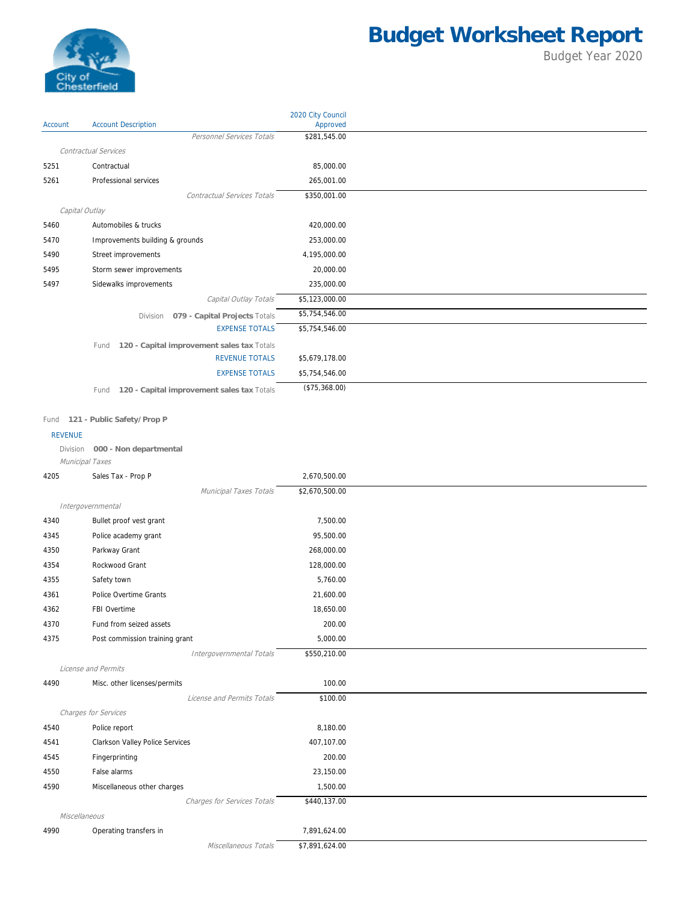

|         |                                                    | 2020 City Council |  |
|---------|----------------------------------------------------|-------------------|--|
| Account | <b>Account Description</b>                         | Approved          |  |
|         | Personnel Services Totals                          | \$281,545.00      |  |
|         | Contractual Services                               |                   |  |
| 5251    | Contractual                                        | 85,000.00         |  |
| 5261    | Professional services                              | 265,001.00        |  |
|         | Contractual Services Totals                        | \$350,001.00      |  |
|         | Capital Outlay                                     |                   |  |
| 5460    | Automobiles & trucks                               | 420,000.00        |  |
| 5470    | Improvements building & grounds                    | 253,000.00        |  |
| 5490    | Street improvements                                | 4,195,000.00      |  |
| 5495    | Storm sewer improvements                           | 20,000.00         |  |
| 5497    | Sidewalks improvements                             | 235,000.00        |  |
|         | Capital Outlay Totals                              | \$5,123,000.00    |  |
|         | 079 - Capital Projects Totals<br>Division          | \$5,754,546.00    |  |
|         | <b>EXPENSE TOTALS</b>                              | \$5,754,546.00    |  |
|         | 120 - Capital improvement sales tax Totals<br>Fund |                   |  |
|         | <b>REVENUE TOTALS</b>                              | \$5,679,178.00    |  |
|         | <b>EXPENSE TOTALS</b>                              | \$5,754,546.00    |  |
|         | 120 - Capital improvement sales tax Totals<br>Fund | (\$75,368.00)     |  |

Fund **121 - Public Safety/Prop P**

#### REVENUE

Division **000 - Non departmental**

#### Municipal Taxes

| Sales Tax - Prop P              | 2,670,500.00   |  |
|---------------------------------|----------------|--|
| Municipal Taxes Totals          | \$2,670,500.00 |  |
| Intergovernmental               |                |  |
| Bullet proof vest grant         | 7,500.00       |  |
| Police academy grant            | 95,500.00      |  |
| Parkway Grant                   | 268,000.00     |  |
| Rockwood Grant                  | 128,000.00     |  |
| Safety town                     | 5,760.00       |  |
| Police Overtime Grants          | 21,600.00      |  |
| FBI Overtime                    | 18,650.00      |  |
| Fund from seized assets         | 200.00         |  |
| Post commission training grant  | 5,000.00       |  |
| Intergovernmental Totals        | \$550,210.00   |  |
| License and Permits             |                |  |
| Misc. other licenses/permits    | 100.00         |  |
| License and Permits Totals      | \$100.00       |  |
| Charges for Services            |                |  |
| Police report                   | 8,180.00       |  |
| Clarkson Valley Police Services | 407,107.00     |  |
| Fingerprinting                  | 200.00         |  |
| False alarms                    | 23,150.00      |  |
| Miscellaneous other charges     | 1,500.00       |  |
| Charges for Services Totals     | \$440,137.00   |  |
| Miscellaneous                   |                |  |
| Operating transfers in          | 7,891,624.00   |  |
| Miscellaneous Totals            | \$7,891,624.00 |  |
|                                 |                |  |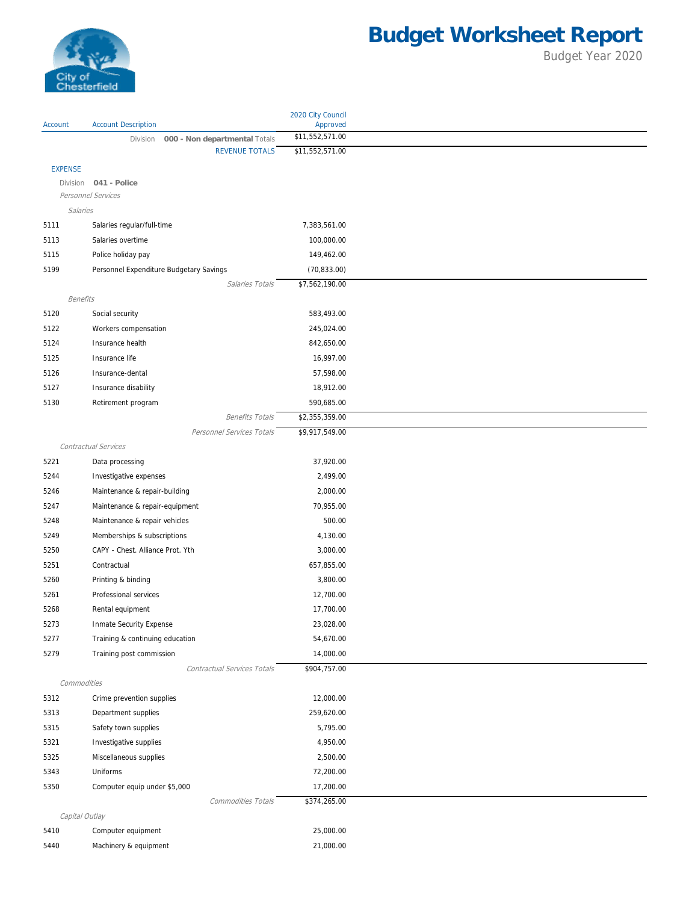

|                |                                           | 2020 City Council |  |
|----------------|-------------------------------------------|-------------------|--|
| Account        | <b>Account Description</b>                | Approved          |  |
|                | 000 - Non departmental Totals<br>Division | \$11,552,571.00   |  |
|                | <b>REVENUE TOTALS</b>                     | \$11,552,571.00   |  |
| <b>EXPENSE</b> |                                           |                   |  |
|                | Division 041 - Police                     |                   |  |
|                | Personnel Services                        |                   |  |
| Salaries       |                                           |                   |  |
| 5111           | Salaries regular/full-time                | 7,383,561.00      |  |
| 5113           | Salaries overtime                         | 100,000.00        |  |
| 5115           | Police holiday pay                        | 149,462.00        |  |
| 5199           | Personnel Expenditure Budgetary Savings   | (70, 833.00)      |  |
|                | Salaries Totals                           | \$7,562,190.00    |  |
| Benefits       |                                           |                   |  |
| 5120           | Social security                           | 583,493.00        |  |
| 5122           | Workers compensation                      | 245,024.00        |  |
| 5124           | Insurance health                          | 842,650.00        |  |
| 5125           | Insurance life                            | 16,997.00         |  |
| 5126           | Insurance-dental                          | 57,598.00         |  |
| 5127           | Insurance disability                      | 18,912.00         |  |
| 5130           | Retirement program                        | 590,685.00        |  |
|                | <b>Benefits Totals</b>                    | \$2,355,359.00    |  |
|                | Personnel Services Totals                 | \$9,917,549.00    |  |
|                | Contractual Services                      |                   |  |
| 5221           |                                           | 37,920.00         |  |
|                | Data processing                           |                   |  |
| 5244           | Investigative expenses                    | 2,499.00          |  |
| 5246           | Maintenance & repair-building             | 2,000.00          |  |
| 5247           | Maintenance & repair-equipment            | 70,955.00         |  |
| 5248           | Maintenance & repair vehicles             | 500.00            |  |
| 5249           | Memberships & subscriptions               | 4,130.00          |  |
| 5250           | CAPY - Chest. Alliance Prot. Yth          | 3,000.00          |  |
| 5251           | Contractual                               | 657,855.00        |  |
| 5260           | Printing & binding                        | 3,800.00          |  |
| 5261           | Professional services                     | 12,700.00         |  |
| 5268           | Rental equipment                          | 17,700.00         |  |
| 5273           | Inmate Security Expense                   | 23,028.00         |  |
| 5277           | Training & continuing education           | 54,670.00         |  |
| 5279           | Training post commission                  | 14,000.00         |  |
|                | Contractual Services Totals               | \$904,757.00      |  |
| Commodities    |                                           |                   |  |
| 5312           | Crime prevention supplies                 | 12,000.00         |  |
| 5313           | Department supplies                       | 259,620.00        |  |
| 5315           | Safety town supplies                      | 5,795.00          |  |
| 5321           | Investigative supplies                    | 4,950.00          |  |
| 5325           | Miscellaneous supplies                    | 2,500.00          |  |
| 5343           | Uniforms                                  | 72,200.00         |  |
| 5350           | Computer equip under \$5,000              | 17,200.00         |  |
|                | Commodities Totals                        | \$374,265.00      |  |
|                | Capital Outlay                            |                   |  |
| 5410           | Computer equipment                        | 25,000.00         |  |
| 5440           | Machinery & equipment                     | 21,000.00         |  |
|                |                                           |                   |  |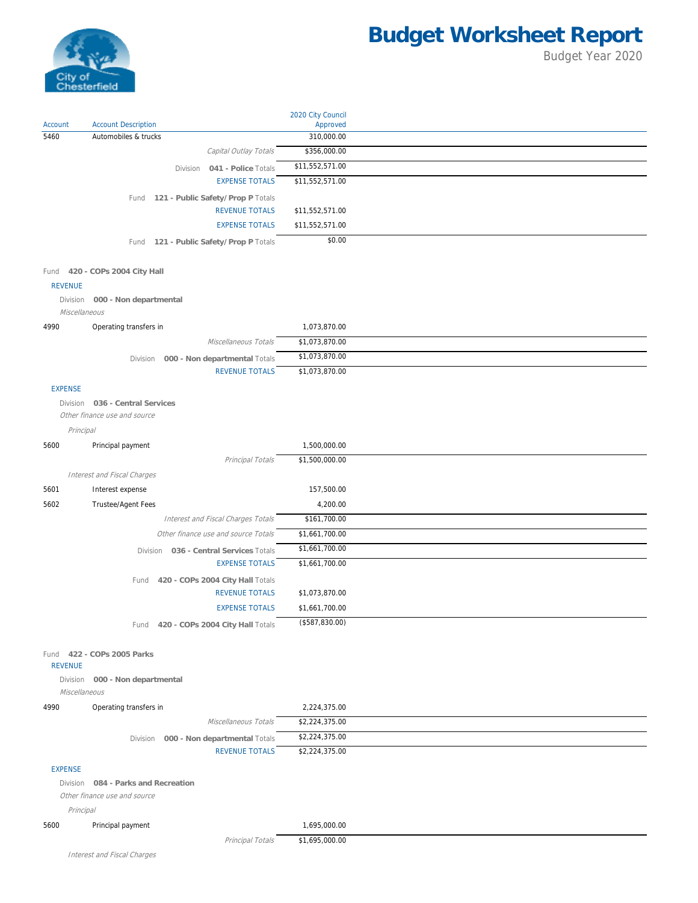

Account Account Description Approved REVENUE TOTALS \$2,224,375.00 **EXPENSE** Division **084 - Parks and Recreation** Miscellaneous Totals \$2,224,375.00 Division **000 - Non departmental** Totals \$2,224,375.00 Division **000 - Non departmental** Miscellaneous 4990 Operating transfers in 2,224,375.00 Fund **420 - COPs 2004 City Hall** Totals (\$587,830.00) Fund **422 - COPs 2005 Parks** REVENUE REVENUE TOTALS \$1,073,870.00 EXPENSE TOTALS \$1,661,700.00 EXPENSE TOTALS \$1,661,700.00 Fund **420 - COPs 2004 City Hall** Totals Interest and Fiscal Charges Totals \$161,700.00 Other finance use and source Totals \$1,661,700.00 Division **036 - Central Services** Totals \$1,661,700.00 5602 Trustee/Agent Fees 4,200.00 Principal Totals \$1,500,000.00 Interest and Fiscal Charges 5601 Interest expense 157,500.00 Principal 5600 Principal payment 1,500,000.00 REVENUE TOTALS \$1,073,870.00 EXPENSE Division **036 - Central Services** Other finance use and source Miscellaneous Totals \$1,073,870.00 Division **000 - Non departmental** Totals \$1,073,870.00 Fund **420 - COPs 2004 City Hall** REVENUE Division **000 - Non departmental** Miscellaneous 4990 Operating transfers in 1,073,870.00 EXPENSE TOTALS \$11,552,571.00 Fund **121 - Public Safety/Prop P** Totals \$0.00 Fund **121 - Public Safety/Prop P** Totals REVENUE TOTALS \$11,552,571.00 Division **041 - Police** Totals \$11,552,571.00 EXPENSE TOTALS \$11,552,571.00 5460 Automobiles & trucks 310,000.00 Capital Outlay Totals \$356,000.00

2020 City Council

Other finance use and source

Principal

5600 Principal payment 1,695,000.00

Principal Totals \$1,695,000.00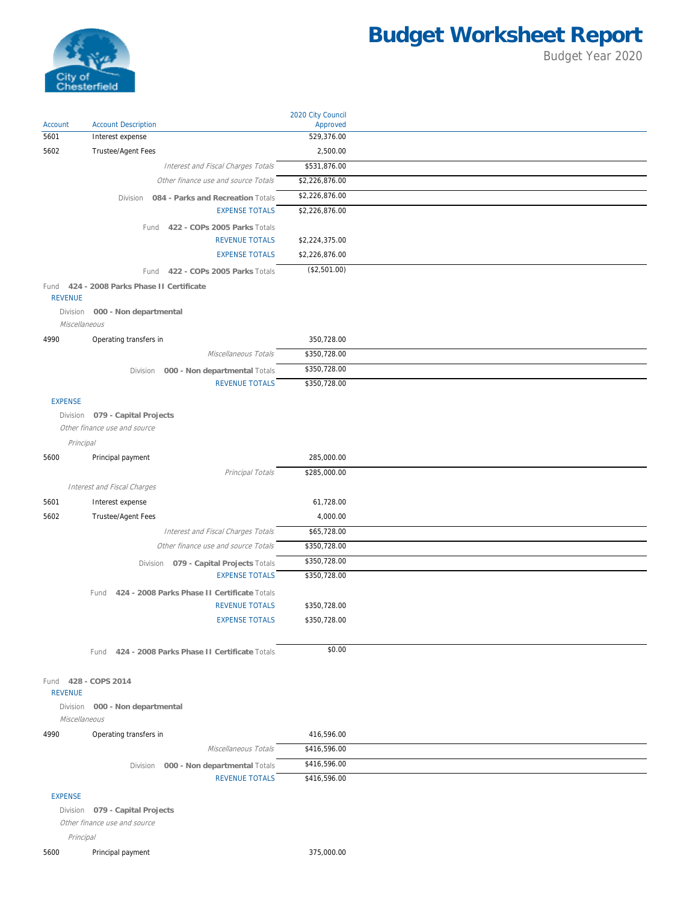

Budget Year 2020

|                        |                                                      | 2020 City Council      |
|------------------------|------------------------------------------------------|------------------------|
| Account<br>5601        | <b>Account Description</b><br>Interest expense       | Approved<br>529,376.00 |
| 5602                   | Trustee/Agent Fees                                   | 2,500.00               |
|                        | Interest and Fiscal Charges Totals                   | \$531,876.00           |
|                        | Other finance use and source Totals                  | \$2,226,876.00         |
|                        | 084 - Parks and Recreation Totals<br>Division        | \$2,226,876.00         |
|                        | <b>EXPENSE TOTALS</b>                                | \$2,226,876.00         |
|                        | Fund 422 - COPs 2005 Parks Totals                    |                        |
|                        | <b>REVENUE TOTALS</b>                                | \$2,224,375.00         |
|                        | <b>EXPENSE TOTALS</b>                                | \$2,226,876.00         |
|                        | 422 - COPs 2005 Parks Totals<br>Fund                 | (\$2,501.00)           |
| Fund<br><b>REVENUE</b> | 424 - 2008 Parks Phase II Certificate                |                        |
| Division               | 000 - Non departmental                               |                        |
| Miscellaneous          |                                                      |                        |
| 4990                   | Operating transfers in                               | 350,728.00             |
|                        | Miscellaneous Totals                                 | \$350,728.00           |
|                        | Division 000 - Non departmental Totals               | \$350,728.00           |
|                        | <b>REVENUE TOTALS</b>                                | \$350,728.00           |
| <b>EXPENSE</b>         |                                                      |                        |
|                        | Division 079 - Capital Projects                      |                        |
|                        | Other finance use and source                         |                        |
| Principal              |                                                      |                        |
| 5600                   | Principal payment                                    | 285,000.00             |
|                        | Principal Totals                                     | \$285,000.00           |
|                        | Interest and Fiscal Charges                          |                        |
| 5601                   | Interest expense                                     | 61,728.00              |
| 5602                   | Trustee/Agent Fees                                   | 4,000.00               |
|                        | Interest and Fiscal Charges Totals                   | \$65,728.00            |
|                        | Other finance use and source Totals                  | \$350,728.00           |
|                        | Division 079 - Capital Projects Totals               | \$350,728.00           |
|                        | <b>EXPENSE TOTALS</b>                                | \$350,728.00           |
|                        | 424 - 2008 Parks Phase II Certificate Totals<br>Fund |                        |
|                        | <b>REVENUE TOTALS</b>                                | \$350,728.00           |
|                        | <b>EXPENSE TOTALS</b>                                | \$350,728.00           |
|                        |                                                      |                        |
|                        | Fund 424 - 2008 Parks Phase II Certificate Totals    | \$0.00                 |
|                        |                                                      |                        |
| <b>REVENUE</b>         | Fund 428 - COPS 2014                                 |                        |
|                        | Division 000 - Non departmental                      |                        |
| Miscellaneous          |                                                      |                        |
| 4990                   | Operating transfers in                               | 416,596.00             |
|                        | Miscellaneous Totals                                 | \$416,596.00           |
|                        | Division 000 - Non departmental Totals               | \$416,596.00           |
|                        | <b>REVENUE TOTALS</b>                                | \$416,596.00           |
| <b>EXPENSE</b>         |                                                      |                        |
|                        | Division 079 - Capital Projects                      |                        |
|                        | Other finance use and source                         |                        |

#### Principal

5600 Principal payment 375,000.00